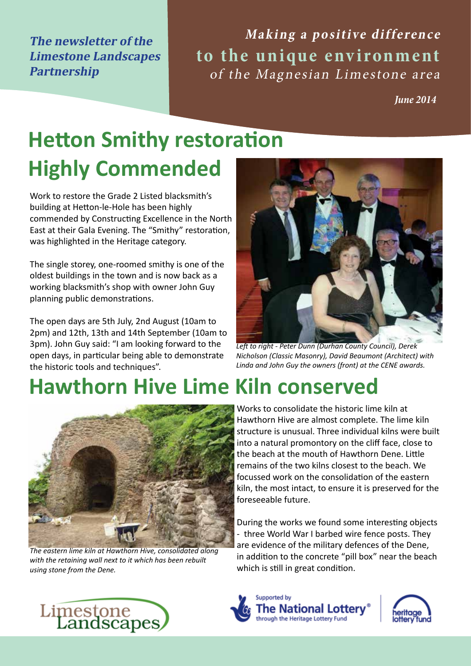**The newsletter of the Limestone Landscapes Partnership**

Making a positive difference **to the unique environment** of the Magnesian Limestone area

*June 2014*

# **Hetton Smithy restoration**

# **Highly Commended**

Work to restore the Grade 2 Listed blacksmith's building at Hetton-le-Hole has been highly commended by Constructing Excellence in the North East at their Gala Evening. The "Smithy" restoration, was highlighted in the Heritage category.

The single storey, one-roomed smithy is one of the oldest buildings in the town and is now back as a working blacksmith's shop with owner John Guy planning public demonstrations.

The open days are 5th July, 2nd August (10am to 2pm) and 12th, 13th and 14th September (10am to 3pm). John Guy said: "I am looking forward to the open days, in particular being able to demonstrate the historic tools and techniques".

# **Hawthorn Hive Lime Kiln conserved**



*The eastern lime kiln at Hawthorn Hive, consolidated along with the retaining wall next to it which has been rebuilt using stone from the Dene.*



*Left to right - Peter Dunn (Durhan County Council), Derek Nicholson (Classic Masonry), David Beaumont (Architect) with Linda and John Guy the owners (front) at the CENE awards.*

Works to consolidate the historic lime kiln at Hawthorn Hive are almost complete. The lime kiln structure is unusual. Three individual kilns were built into a natural promontory on the cliff face, close to the beach at the mouth of Hawthorn Dene. Little remains of the two kilns closest to the beach. We focussed work on the consolidation of the eastern kiln, the most intact, to ensure it is preserved for the foreseeable future.

During the works we found some interesting objects - three World War I barbed wire fence posts. They are evidence of the military defences of the Dene, in addition to the concrete "pill box" near the beach which is still in great condition.





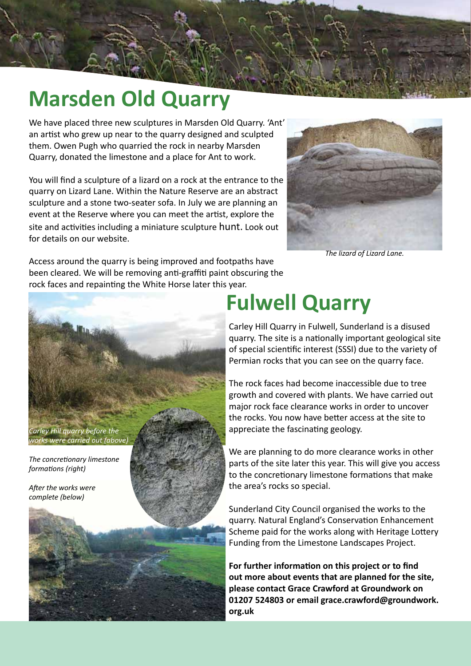#### **Marsden Old Quarry**

We have placed three new sculptures in Marsden Old Quarry. 'Ant' an artist who grew up near to the quarry designed and sculpted them. Owen Pugh who quarried the rock in nearby Marsden Quarry, donated the limestone and a place for Ant to work.

You will find a sculpture of a lizard on a rock at the entrance to the quarry on Lizard Lane. Within the Nature Reserve are an abstract sculpture and a stone two-seater sofa. In July we are planning an event at the Reserve where you can meet the artist, explore the site and activities including a miniature sculpture hunt. Look out for details on our website.



*The lizard of Lizard Lane.*

Access around the quarry is being improved and footpaths have been cleared. We will be removing anti-graffiti paint obscuring the rock faces and repainting the White Horse later this year.

*Carley Hill quarry before the works were carried out (above)*

*The concretionary limestone formations (right)*

*After the works were complete (below)*



## **Fulwell Quarry**

Carley Hill Quarry in Fulwell, Sunderland is a disused quarry. The site is a nationally important geological site of special scientific interest (SSSI) due to the variety of Permian rocks that you can see on the quarry face.

The rock faces had become inaccessible due to tree growth and covered with plants. We have carried out major rock face clearance works in order to uncover the rocks. You now have better access at the site to appreciate the fascinating geology.

We are planning to do more clearance works in other parts of the site later this year. This will give you access to the concretionary limestone formations that make the area's rocks so special.

Sunderland City Council organised the works to the quarry. Natural England's Conservation Enhancement Scheme paid for the works along with Heritage Lottery Funding from the Limestone Landscapes Project.

**For further information on this project or to find out more about events that are planned for the site, please contact Grace Crawford at Groundwork on 01207 524803 or email grace.crawford@groundwork. org.uk**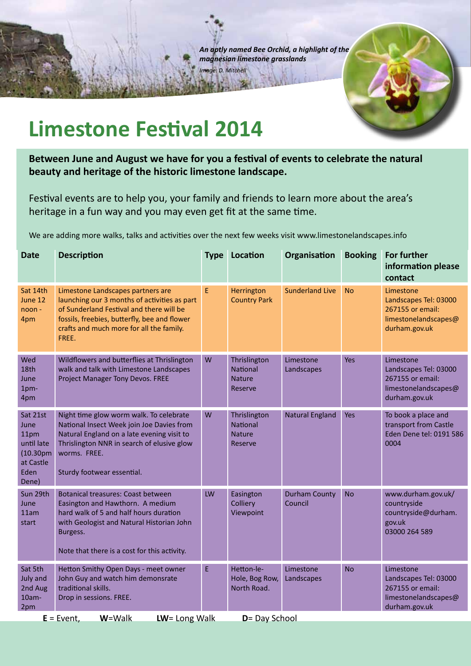*An aptly named Bee Orchid, a highlight of the magnesian limestone grasslands Image: D. Mitchell*



## **Limestone Festival 2014**

**Between June and August we have for you a festival of events to celebrate the natural beauty and heritage of the historic limestone landscape.**

Festival events are to help you, your family and friends to learn more about the area's heritage in a fun way and you may even get fit at the same time.

We are adding more walks, talks and activities over the next few weeks visit www.limestonelandscapes.info

| <b>Date</b>                                                                                    | <b>Description</b>                                                                                                                                                                                                                 | <b>Type</b> | Location                                             | Organisation                    | <b>Booking</b> | For further<br>information please<br>contact                                                    |
|------------------------------------------------------------------------------------------------|------------------------------------------------------------------------------------------------------------------------------------------------------------------------------------------------------------------------------------|-------------|------------------------------------------------------|---------------------------------|----------------|-------------------------------------------------------------------------------------------------|
| Sat 14th<br>June 12<br>noon -<br>4pm                                                           | Limestone Landscapes partners are<br>launching our 3 months of activities as part<br>of Sunderland Festival and there will be<br>fossils, freebies, butterfly, bee and flower<br>crafts and much more for all the family.<br>FREE. | E           | Herrington<br><b>Country Park</b>                    | <b>Sunderland Live</b>          | <b>No</b>      | Limestone<br>Landscapes Tel: 03000<br>267155 or email:<br>limestonelandscapes@<br>durham.gov.uk |
| Wed<br>18th<br>June<br>1pm-<br>4pm                                                             | Wildflowers and butterflies at Thrislington<br>walk and talk with Limestone Landscapes<br>Project Manager Tony Devos. FREE                                                                                                         | W           | Thrislington<br>National<br><b>Nature</b><br>Reserve | Limestone<br>Landscapes         | <b>Yes</b>     | Limestone<br>Landscapes Tel: 03000<br>267155 or email:<br>limestonelandscapes@<br>durham.gov.uk |
| Sat 21st<br>June<br>11pm<br>until late<br>(10.30 <sub>pm</sub> )<br>at Castle<br>Eden<br>Dene) | Night time glow worm walk. To celebrate<br>National Insect Week join Joe Davies from<br>Natural England on a late evening visit to<br>Thrislington NNR in search of elusive glow<br>worms. FREE.<br>Sturdy footwear essential.     | W           | Thrislington<br>National<br><b>Nature</b><br>Reserve | <b>Natural England</b>          | Yes            | To book a place and<br>transport from Castle<br>Eden Dene tel: 0191 586<br>0004                 |
| Sun 29th<br>June<br>11am<br>start                                                              | <b>Botanical treasures: Coast between</b><br>Easington and Hawthorn. A medium<br>hard walk of 5 and half hours duration<br>with Geologist and Natural Historian John<br>Burgess.<br>Note that there is a cost for this activity.   | LW          | Easington<br>Colliery<br>Viewpoint                   | <b>Durham County</b><br>Council | <b>No</b>      | www.durham.gov.uk/<br>countryside<br>countryside@durham.<br>gov.uk<br>03000 264 589             |
| Sat 5th<br><b>July and</b><br>2nd Aug<br>$10am -$<br>2pm                                       | Hetton Smithy Open Days - meet owner<br>John Guy and watch him demonsrate<br>traditional skills.<br>Drop in sessions. FREE.                                                                                                        | E           | Hetton-le-<br>Hole, Bog Row,<br>North Road.          | Limestone<br>Landscapes         | <b>No</b>      | Limestone<br>Landscapes Tel: 03000<br>267155 or email:<br>limestonelandscapes@<br>durham.gov.uk |
| $LW = Long Walk$<br>D= Day School<br>$E =$ Event,<br>W=Walk                                    |                                                                                                                                                                                                                                    |             |                                                      |                                 |                |                                                                                                 |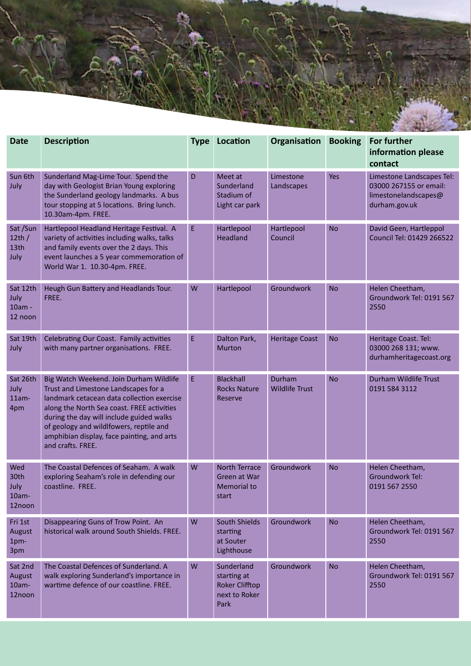

| <b>Date</b>                               | <b>Description</b>                                                                                                                                                                                                                                                                                                                    | <b>Type</b> | Location                                                                    | Organisation                    | <b>Booking</b> | <b>For further</b><br>information please<br>contact                                          |
|-------------------------------------------|---------------------------------------------------------------------------------------------------------------------------------------------------------------------------------------------------------------------------------------------------------------------------------------------------------------------------------------|-------------|-----------------------------------------------------------------------------|---------------------------------|----------------|----------------------------------------------------------------------------------------------|
| Sun 6th<br>July                           | Sunderland Mag-Lime Tour. Spend the<br>day with Geologist Brian Young exploring<br>the Sunderland geology landmarks. A bus<br>tour stopping at 5 locations. Bring lunch.<br>10.30am-4pm. FREE.                                                                                                                                        | D           | Meet at<br>Sunderland<br>Stadium of<br>Light car park                       | Limestone<br>Landscapes         | <b>Yes</b>     | Limestone Landscapes Tel:<br>03000 267155 or email:<br>limestonelandscapes@<br>durham.gov.uk |
| Sat/Sun<br>12th/<br>13th<br>July          | Hartlepool Headland Heritage Festival. A<br>variety of activities including walks, talks<br>and family events over the 2 days. This<br>event launches a 5 year commemoration of<br>World War 1. 10.30-4pm. FREE.                                                                                                                      | E.          | Hartlepool<br>Headland                                                      | Hartlepool<br>Council           | <b>No</b>      | David Geen, Hartleppol<br>Council Tel: 01429 266522                                          |
| Sat 12th<br>July<br>10am -<br>12 noon     | Heugh Gun Battery and Headlands Tour.<br>FREE.                                                                                                                                                                                                                                                                                        | W           | Hartlepool                                                                  | Groundwork                      | <b>No</b>      | Helen Cheetham,<br>Groundwork Tel: 0191 567<br>2550                                          |
| Sat 19th<br>July                          | Celebrating Our Coast. Family activities<br>with many partner organisations. FREE.                                                                                                                                                                                                                                                    | E           | Dalton Park,<br><b>Murton</b>                                               | <b>Heritage Coast</b>           | <b>No</b>      | Heritage Coast. Tel:<br>03000 268 131; www.<br>durhamheritagecoast.org                       |
| Sat 26th<br>July<br>$11am -$<br>4pm       | Big Watch Weekend. Join Durham Wildlife<br>Trust and Limestone Landscapes for a<br>landmark cetacean data collection exercise<br>along the North Sea coast. FREE activities<br>during the day will include guided walks<br>of geology and wildlfowers, reptile and<br>amphibian display, face painting, and arts<br>and crafts. FREE. | E           | <b>Blackhall</b><br><b>Rocks Nature</b><br>Reserve                          | Durham<br><b>Wildlife Trust</b> | <b>No</b>      | Durham Wildlife Trust<br>0191 584 3112                                                       |
| Wed<br>30th<br>July<br>$10am -$<br>12noon | The Coastal Defences of Seaham. A walk<br>exploring Seaham's role in defending our<br>coastline. FREE.                                                                                                                                                                                                                                | W           | North Terrace<br>Green at War<br><b>Memorial to</b><br>start                | Groundwork                      | <b>No</b>      | Helen Cheetham,<br>Groundwork Tel:<br>0191 567 2550                                          |
| Fri 1st<br>August<br>1pm-<br>3pm          | Disappearing Guns of Trow Point. An<br>historical walk around South Shields, FREE.                                                                                                                                                                                                                                                    | W           | <b>South Shields</b><br>starting<br>at Souter<br>Lighthouse                 | Groundwork                      | <b>No</b>      | Helen Cheetham,<br>Groundwork Tel: 0191 567<br>2550                                          |
| Sat 2nd<br>August<br>$10am -$<br>12noon   | The Coastal Defences of Sunderland. A<br>walk exploring Sunderland's importance in<br>wartime defence of our coastline. FREE.                                                                                                                                                                                                         | W           | Sunderland<br>starting at<br><b>Roker Clifftop</b><br>next to Roker<br>Park | Groundwork                      | <b>No</b>      | Helen Cheetham,<br>Groundwork Tel: 0191 567<br>2550                                          |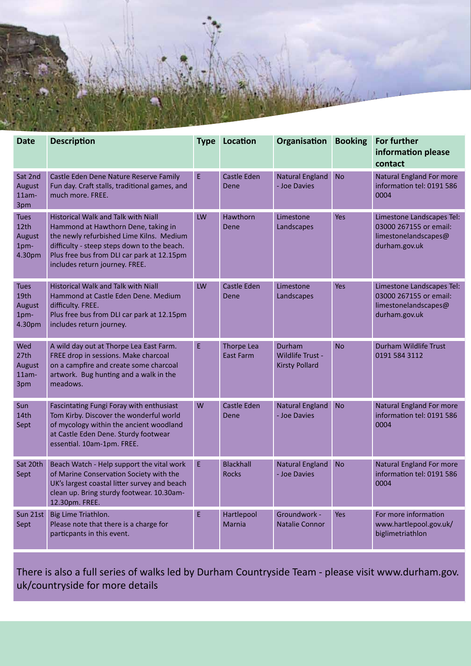

| <b>Date</b>                                            | <b>Description</b>                                                                                                                                                                                                                                           | <b>Type</b> | Location                         | Organisation                                        | <b>Booking</b> | <b>For further</b><br>information please<br>contact                                          |
|--------------------------------------------------------|--------------------------------------------------------------------------------------------------------------------------------------------------------------------------------------------------------------------------------------------------------------|-------------|----------------------------------|-----------------------------------------------------|----------------|----------------------------------------------------------------------------------------------|
| Sat 2nd<br><b>August</b><br>$11am -$<br>3pm            | Castle Eden Dene Nature Reserve Family<br>Fun day. Craft stalls, traditional games, and<br>much more. FREE.                                                                                                                                                  | E           | <b>Castle Eden</b><br>Dene       | <b>Natural England</b><br>- Joe Davies              | <b>No</b>      | <b>Natural England For more</b><br>information tel: 0191 586<br>0004                         |
| Tues<br>12th<br>August<br>1pm-<br>4.30pm               | <b>Historical Walk and Talk with Niall</b><br>Hammond at Hawthorn Dene, taking in<br>the newly refurbished Lime Kilns. Medium<br>difficulty - steep steps down to the beach.<br>Plus free bus from DLI car park at 12.15pm<br>includes return journey. FREE. | LW          | Hawthorn<br>Dene                 | Limestone<br>Landscapes                             | <b>Yes</b>     | Limestone Landscapes Tel:<br>03000 267155 or email:<br>limestonelandscapes@<br>durham.gov.uk |
| <b>Tues</b><br>19th<br><b>August</b><br>1pm-<br>4.30pm | Historical Walk and Talk with Niall<br>Hammond at Castle Eden Dene. Medium<br>difficulty. FREE.<br>Plus free bus from DLI car park at 12.15pm<br>includes return journey.                                                                                    | LW          | Castle Eden<br>Dene              | Limestone<br>Landscapes                             | <b>Yes</b>     | Limestone Landscapes Tel:<br>03000 267155 or email:<br>limestonelandscapes@<br>durham.gov.uk |
| Wed<br>27th<br><b>August</b><br>$11am -$<br>3pm        | A wild day out at Thorpe Lea East Farm.<br>FREE drop in sessions. Make charcoal<br>on a campfire and create some charcoal<br>artwork. Bug hunting and a walk in the<br>meadows.                                                                              | E           | Thorpe Lea<br><b>East Farm</b>   | Durham<br>Wildlife Trust -<br><b>Kirsty Pollard</b> | <b>No</b>      | Durham Wildlife Trust<br>0191 584 3112                                                       |
| Sun<br>14th<br>Sept                                    | Fascintating Fungi Foray with enthusiast<br>Tom Kirby. Discover the wonderful world<br>of mycology within the ancient woodland<br>at Castle Eden Dene. Sturdy footwear<br>essential. 10am-1pm. FREE.                                                         | W           | Castle Eden<br>Dene              | <b>Natural England</b><br>- Joe Davies              | <b>No</b>      | <b>Natural England For more</b><br>information tel: 0191 586<br>0004                         |
| Sat 20th<br>Sept                                       | Beach Watch - Help support the vital work<br>of Marine Conservation Society with the<br>UK's largest coastal litter survey and beach<br>clean up. Bring sturdy footwear. 10.30am-<br>12.30pm. FREE.                                                          | E           | <b>Blackhall</b><br><b>Rocks</b> | <b>Natural England</b><br>- Joe Davies              | <b>No</b>      | <b>Natural England For more</b><br>information tel: 0191 586<br>0004                         |
| Sun 21st<br>Sept                                       | Big Lime Triathlon.<br>Please note that there is a charge for<br>particpants in this event.                                                                                                                                                                  | E           | Hartlepool<br>Marnia             | Groundwork -<br>Natalie Connor                      | <b>Yes</b>     | For more information<br>www.hartlepool.gov.uk/<br>biglimetriathlon                           |

There is also a full series of walks led by Durham Countryside Team - please visit www.durham.gov. uk/countryside for more details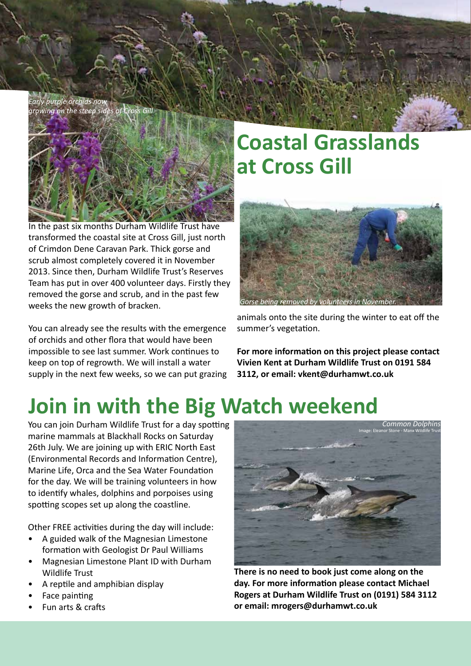*Early purple orchids now growing on the steep sides of Cross Gill*



In the past six months Durham Wildlife Trust have transformed the coastal site at Cross Gill, just north of Crimdon Dene Caravan Park. Thick gorse and scrub almost completely covered it in November 2013. Since then, Durham Wildlife Trust's Reserves Team has put in over 400 volunteer days. Firstly they removed the gorse and scrub, and in the past few weeks the new growth of bracken.

You can already see the results with the emergence of orchids and other flora that would have been impossible to see last summer. Work continues to keep on top of regrowth. We will install a water supply in the next few weeks, so we can put grazing

## **Coastal Grasslands at Cross Gill**



animals onto the site during the winter to eat off the summer's vegetation.

**For more information on this project please contact Vivien Kent at Durham Wildlife Trust on 0191 584 3112, or email: vkent@durhamwt.co.uk**

# **Join in with the Big Watch weekend**

You can join Durham Wildlife Trust for a day spotting marine mammals at Blackhall Rocks on Saturday 26th July. We are joining up with ERIC North East (Environmental Records and Information Centre), Marine Life, Orca and the Sea Water Foundation for the day. We will be training volunteers in how to identify whales, dolphins and porpoises using spotting scopes set up along the coastline.

Other FREE activities during the day will include:

- A guided walk of the Magnesian Limestone formation with Geologist Dr Paul Williams
- Magnesian Limestone Plant ID with Durham Wildlife Trust
- A reptile and amphibian display
- Face painting
- Fun arts & crafts



**There is no need to book just come along on the day. For more information please contact Michael Rogers at Durham Wildlife Trust on (0191) 584 3112 or email: mrogers@durhamwt.co.uk**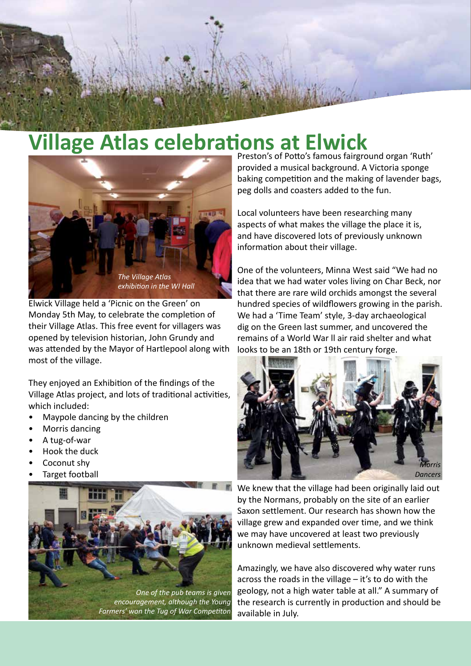

# **Village Atlas celebrations at Elwick**  Preston's of Potto's famous fairground organ 'Ruth'



Elwick Village held a 'Picnic on the Green' on Monday 5th May, to celebrate the completion of their Village Atlas. This free event for villagers was opened by television historian, John Grundy and was attended by the Mayor of Hartlepool along with most of the village.

They enjoyed an Exhibition of the findings of the Village Atlas project, and lots of traditional activities, which included:

- Maypole dancing by the children
- Morris dancing
- A tug-of-war
- Hook the duck
- Coconut shy
- Target football



provided a musical background. A Victoria sponge baking competition and the making of lavender bags, peg dolls and coasters added to the fun.

Local volunteers have been researching many aspects of what makes the village the place it is, and have discovered lots of previously unknown information about their village.

One of the volunteers, Minna West said "We had no idea that we had water voles living on Char Beck, nor that there are rare wild orchids amongst the several hundred species of wildflowers growing in the parish. We had a 'Time Team' style, 3-day archaeological dig on the Green last summer, and uncovered the remains of a World War ll air raid shelter and what looks to be an 18th or 19th century forge.



We knew that the village had been originally laid out by the Normans, probably on the site of an earlier Saxon settlement. Our research has shown how the village grew and expanded over time, and we think we may have uncovered at least two previously unknown medieval settlements.

Amazingly, we have also discovered why water runs across the roads in the village – it's to do with the geology, not a high water table at all." A summary of the research is currently in production and should be available in July.